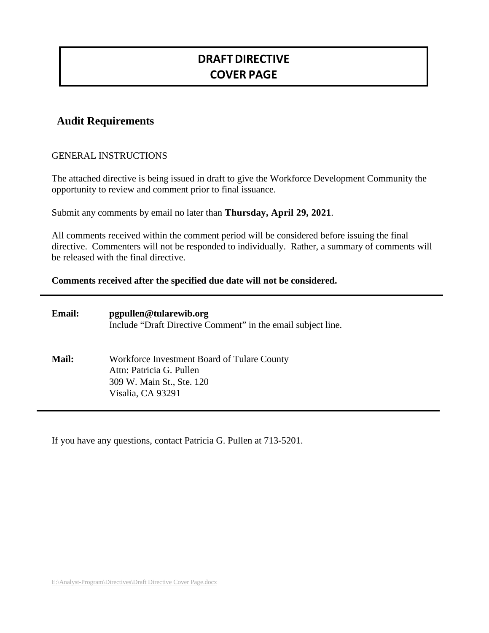# **DRAFT DIRECTIVE COVER PAGE**

## **Audit Requirements**

### GENERAL INSTRUCTIONS

The attached directive is being issued in draft to give the Workforce Development Community the opportunity to review and comment prior to final issuance.

Submit any comments by email no later than **Thursday, April 29, 2021**.

All comments received within the comment period will be considered before issuing the final directive. Commenters will not be responded to individually. Rather, a summary of comments will be released with the final directive.

#### **Comments received after the specified due date will not be considered.**

| <b>Email:</b> | pgpullen@tularewib.org<br>Include "Draft Directive Comment" in the email subject line.                                    |
|---------------|---------------------------------------------------------------------------------------------------------------------------|
| <b>Mail:</b>  | Workforce Investment Board of Tulare County<br>Attn: Patricia G. Pullen<br>309 W. Main St., Ste. 120<br>Visalia, CA 93291 |

If you have any questions, contact Patricia G. Pullen at 713-5201.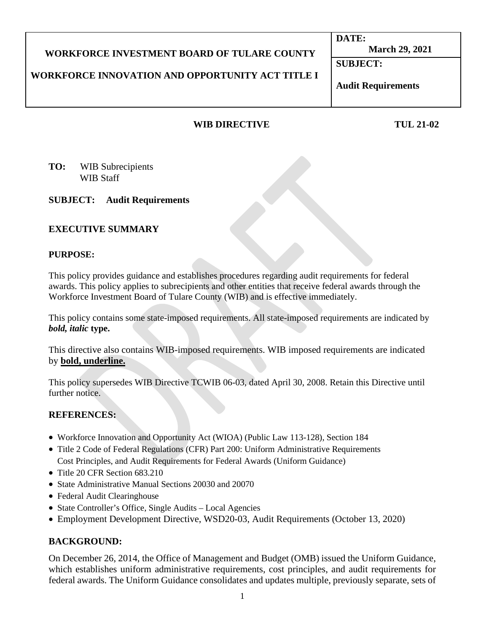#### **WORKFORCE INVESTMENT BOARD OF TULARE COUNTY WORKFORCE INNOVATION AND OPPORTUNITY ACT TITLE I DATE: March 29, 2021 SUBJECT:**

## **Audit Requirements**

## **WIB DIRECTIVE TUL 21-02**

**TO:** WIB Subrecipients WIB Staff

### **SUBJECT: Audit Requirements**

#### **EXECUTIVE SUMMARY**

#### **PURPOSE:**

This policy provides guidance and establishes procedures regarding audit requirements for federal awards. This policy applies to subrecipients and other entities that receive federal awards through the Workforce Investment Board of Tulare County (WIB) and is effective immediately.

This policy contains some state-imposed requirements. All state-imposed requirements are indicated by *bold, italic* **type.**

This directive also contains WIB-imposed requirements. WIB imposed requirements are indicated by **bold, underline.**

This policy supersedes WIB Directive TCWIB 06-03, dated April 30, 2008. Retain this Directive until further notice.

#### **REFERENCES:**

- Workforce Innovation and Opportunity Act (WIOA) (Public Law 113-128), Section 184
- Title 2 Code of Federal Regulations (CFR) Part 200: Uniform Administrative Requirements Cost Principles, and Audit Requirements for Federal Awards (Uniform Guidance)
- Title 20 CFR Section 683 210
- State Administrative Manual Sections 20030 and 20070
- Federal Audit Clearinghouse
- State Controller's Office, Single Audits Local Agencies
- Employment Development Directive, WSD20-03, Audit Requirements (October 13, 2020)

#### **BACKGROUND:**

On December 26, 2014, the Office of Management and Budget (OMB) issued the Uniform Guidance, which establishes uniform administrative requirements, cost principles, and audit requirements for federal awards. The Uniform Guidance consolidates and updates multiple, previously separate, sets of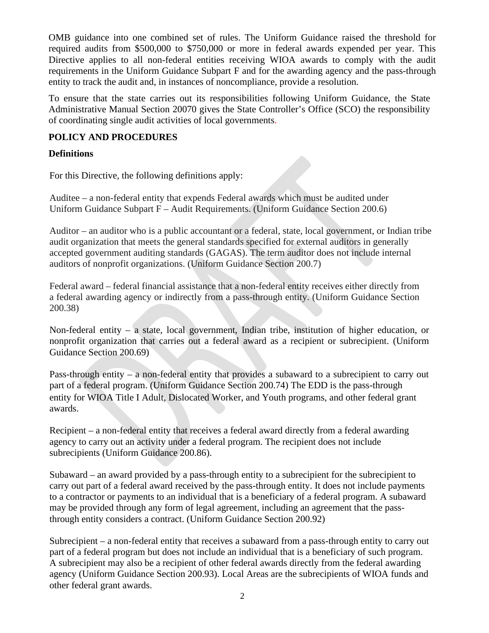OMB guidance into one combined set of rules. The Uniform Guidance raised the threshold for required audits from \$500,000 to \$750,000 or more in federal awards expended per year. This Directive applies to all non-federal entities receiving WIOA awards to comply with the audit requirements in the Uniform Guidance Subpart F and for the awarding agency and the pass-through entity to track the audit and, in instances of noncompliance, provide a resolution.

To ensure that the state carries out its responsibilities following Uniform Guidance, the State Administrative Manual Section 20070 gives the State Controller's Office (SCO) the responsibility of coordinating single audit activities of local governments.

### **POLICY AND PROCEDURES**

### **Definitions**

For this Directive, the following definitions apply:

Auditee – a non-federal entity that expends Federal awards which must be audited under Uniform Guidance Subpart F – Audit Requirements. (Uniform Guidance Section 200.6)

Auditor – an auditor who is a public accountant or a federal, state, local government, or Indian tribe audit organization that meets the general standards specified for external auditors in generally accepted government auditing standards (GAGAS). The term auditor does not include internal auditors of nonprofit organizations. (Uniform Guidance Section 200.7)

Federal award – federal financial assistance that a non-federal entity receives either directly from a federal awarding agency or indirectly from a pass-through entity. (Uniform Guidance Section 200.38)

Non-federal entity – a state, local government, Indian tribe, institution of higher education, or nonprofit organization that carries out a federal award as a recipient or subrecipient. (Uniform Guidance Section 200.69)

Pass-through entity – a non-federal entity that provides a subaward to a subrecipient to carry out part of a federal program. (Uniform Guidance Section 200.74) The EDD is the pass-through entity for WIOA Title I Adult, Dislocated Worker, and Youth programs, and other federal grant awards.

Recipient – a non-federal entity that receives a federal award directly from a federal awarding agency to carry out an activity under a federal program. The recipient does not include subrecipients (Uniform Guidance 200.86).

Subaward – an award provided by a pass-through entity to a subrecipient for the subrecipient to carry out part of a federal award received by the pass-through entity. It does not include payments to a contractor or payments to an individual that is a beneficiary of a federal program. A subaward may be provided through any form of legal agreement, including an agreement that the passthrough entity considers a contract. (Uniform Guidance Section 200.92)

Subrecipient – a non-federal entity that receives a subaward from a pass-through entity to carry out part of a federal program but does not include an individual that is a beneficiary of such program. A subrecipient may also be a recipient of other federal awards directly from the federal awarding agency (Uniform Guidance Section 200.93). Local Areas are the subrecipients of WIOA funds and other federal grant awards.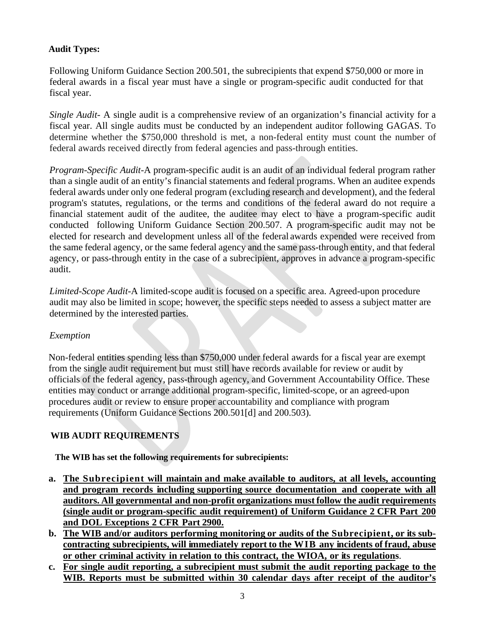## **Audit Types:**

Following Uniform Guidance Section 200.501, the subrecipients that expend \$750,000 or more in federal awards in a fiscal year must have a single or program-specific audit conducted for that fiscal year.

*Single Audit-* A single audit is a comprehensive review of an organization's financial activity for a fiscal year. All single audits must be conducted by an independent auditor following GAGAS. To determine whether the \$750,000 threshold is met, a non-federal entity must count the number of federal awards received directly from federal agencies and pass-through entities.

*Program-Specific Audit-*A program-specific audit is an audit of an individual federal program rather than a single audit of an entity's financial statements and federal programs. When an auditee expends federal awards under only one federal program (excluding research and development), and the federal program's statutes, regulations, or the terms and conditions of the federal award do not require a financial statement audit of the auditee, the auditee may elect to have a program-specific audit conducted following Uniform Guidance Section 200.507. A program-specific audit may not be elected for research and development unless all of the federal awards expended were received from the same federal agency, or the same federal agency and the same pass-through entity, and that federal agency, or pass-through entity in the case of a subrecipient, approves in advance a program-specific audit.

*Limited-Scope Audit-*A limited-scope audit is focused on a specific area. Agreed-upon procedure audit may also be limited in scope; however, the specific steps needed to assess a subject matter are determined by the interested parties.

### *Exemption*

Non-federal entities spending less than \$750,000 under federal awards for a fiscal year are exempt from the single audit requirement but must still have records available for review or audit by officials of the federal agency, pass-through agency, and Government Accountability Office. These entities may conduct or arrange additional program-specific, limited-scope, or an agreed-upon procedures audit or review to ensure proper accountability and compliance with program requirements (Uniform Guidance Sections 200.501[d] and 200.503).

### **WIB AUDIT REQUIREMENTS**

**The WIB has set the following requirements for subrecipients:**

- **a. The Subrecipient will maintain and make available to auditors, at all levels, accounting and program records including supporting source documentation and cooperate with all auditors. All governmental and non-profit organizations must follow the audit requirements (single audit or program-specific audit requirement) of Uniform Guidance 2 CFR Part 200 and DOL Exceptions 2 CFR Part 2900.**
- **b. The WIB and/or auditors performing monitoring or audits of the Subrecipient, or its subcontracting subrecipients, will immediately report to the WIB any incidents of fraud, abuse or other criminal activity in relation to this contract, the WIOA, or its regulations**.
- **c. For single audit reporting, a subrecipient must submit the audit reporting package to the WIB. Reports must be submitted within 30 calendar days after receipt of the auditor's**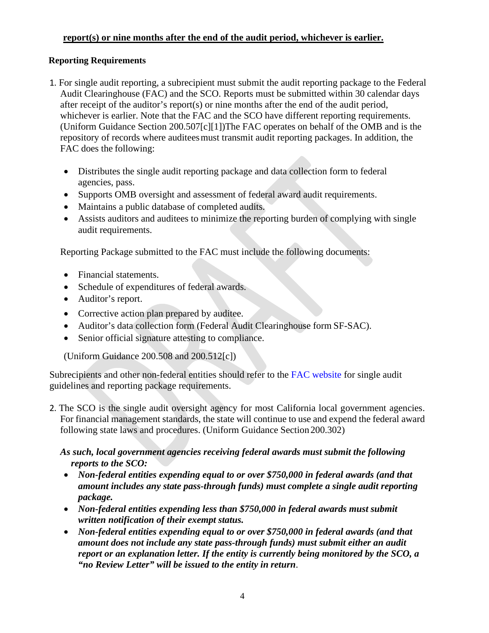## **report(s) or nine months after the end of the audit period, whichever is earlier.**

#### **Reporting Requirements**

- 1. For single audit reporting, a subrecipient must submit the audit reporting package to the Federal Audit Clearinghouse (FAC) and the SCO. Reports must be submitted within 30 calendar days after receipt of the auditor's report(s) or nine months after the end of the audit period, whichever is earlier. Note that the FAC and the SCO have different reporting requirements. (Uniform Guidance Section 200.507[c][1])The FAC operates on behalf of the OMB and is the repository of records where auditeesmust transmit audit reporting packages. In addition, the FAC does the following:
	- Distributes the single audit reporting package and data collection form to federal agencies, pass.
	- Supports OMB oversight and assessment of federal award audit requirements.
	- Maintains a public database of completed audits.
	- Assists auditors and auditees to minimize the reporting burden of complying with single audit requirements.

Reporting Package submitted to the FAC must include the following documents:

- Financial statements.
- Schedule of expenditures of federal awards.
- Auditor's report.
- Corrective action plan prepared by auditee.
- Auditor's data collection form (Federal Audit Clearinghouse form SF-SAC).
- Senior official signature attesting to compliance.

(Uniform Guidance 200.508 and 200.512[c])

Subrecipients and other non-federal entities should refer to the [FAC website f](https://harvester.census.gov/facweb/Default.aspx)or single audit guidelines and reporting package requirements.

2. The SCO is the single audit oversight agency for most California local government agencies. For financial management standards, the state will continue to use and expend the federal award following state laws and procedures. (Uniform Guidance Section 200.302)

### *As such, local government agencies receiving federal awards must submit the following reports to the SCO:*

- *Non-federal entities expending equal to or over \$750,000 in federal awards (and that amount includes any state pass-through funds) must complete a single audit reporting package.*
- *Non-federal entities expending less than \$750,000 in federal awards must submit written notification of their exempt status.*
- *Non-federal entities expending equal to or over \$750,000 in federal awards (and that amount does not include any state pass-through funds) must submit either an audit report or an explanation letter. If the entity is currently being monitored by the SCO, a "no Review Letter" will be issued to the entity in return*.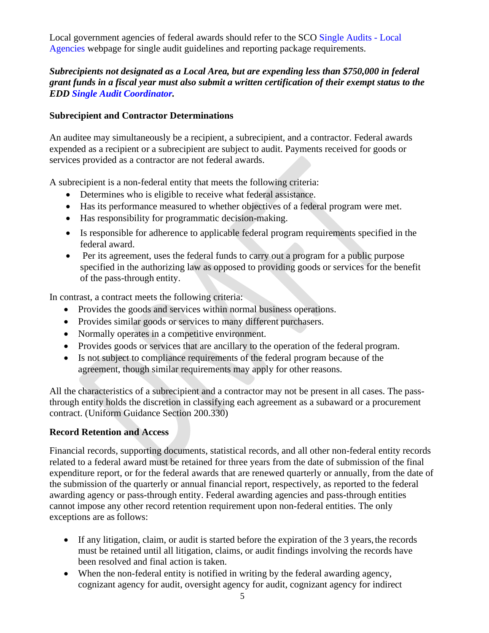Local government agencies of federal awards should refer to the SCO [Single Audits -](https://www.sco.ca.gov/aud_single_audits.html) Local [Agencies w](https://www.sco.ca.gov/aud_single_audits.html)ebpage for single audit guidelines and reporting package requirements.

## *Subrecipients not designated as a Local Area, but are expending less than \$750,000 in federal grant funds in a fiscal year must also submit a written certification of their exempt status to the EDD [Single Audit Coordinator.](mailto:Michelle.Layman@edd.ca.gov)*

#### **Subrecipient and Contractor Determinations**

An auditee may simultaneously be a recipient, a subrecipient, and a contractor. Federal awards expended as a recipient or a subrecipient are subject to audit. Payments received for goods or services provided as a contractor are not federal awards.

A subrecipient is a non-federal entity that meets the following criteria:

- Determines who is eligible to receive what federal assistance.
- Has its performance measured to whether objectives of a federal program were met.
- Has responsibility for programmatic decision-making.
- Is responsible for adherence to applicable federal program requirements specified in the federal award.
- Per its agreement, uses the federal funds to carry out a program for a public purpose specified in the authorizing law as opposed to providing goods or services for the benefit of the pass-through entity.

In contrast, a contract meets the following criteria:

- Provides the goods and services within normal business operations.
- Provides similar goods or services to many different purchasers.
- Normally operates in a competitive environment.
- Provides goods or services that are ancillary to the operation of the federal program.
- Is not subject to compliance requirements of the federal program because of the agreement, though similar requirements may apply for other reasons.

All the characteristics of a subrecipient and a contractor may not be present in all cases. The passthrough entity holds the discretion in classifying each agreement as a subaward or a procurement contract. (Uniform Guidance Section 200.330)

### **Record Retention and Access**

Financial records, supporting documents, statistical records, and all other non-federal entity records related to a federal award must be retained for three years from the date of submission of the final expenditure report, or for the federal awards that are renewed quarterly or annually, from the date of the submission of the quarterly or annual financial report, respectively, as reported to the federal awarding agency or pass-through entity. Federal awarding agencies and pass-through entities cannot impose any other record retention requirement upon non-federal entities. The only exceptions are as follows:

- If any litigation, claim, or audit is started before the expiration of the 3 years, the records must be retained until all litigation, claims, or audit findings involving the records have been resolved and final action is taken.
- When the non-federal entity is notified in writing by the federal awarding agency, cognizant agency for audit, oversight agency for audit, cognizant agency for indirect